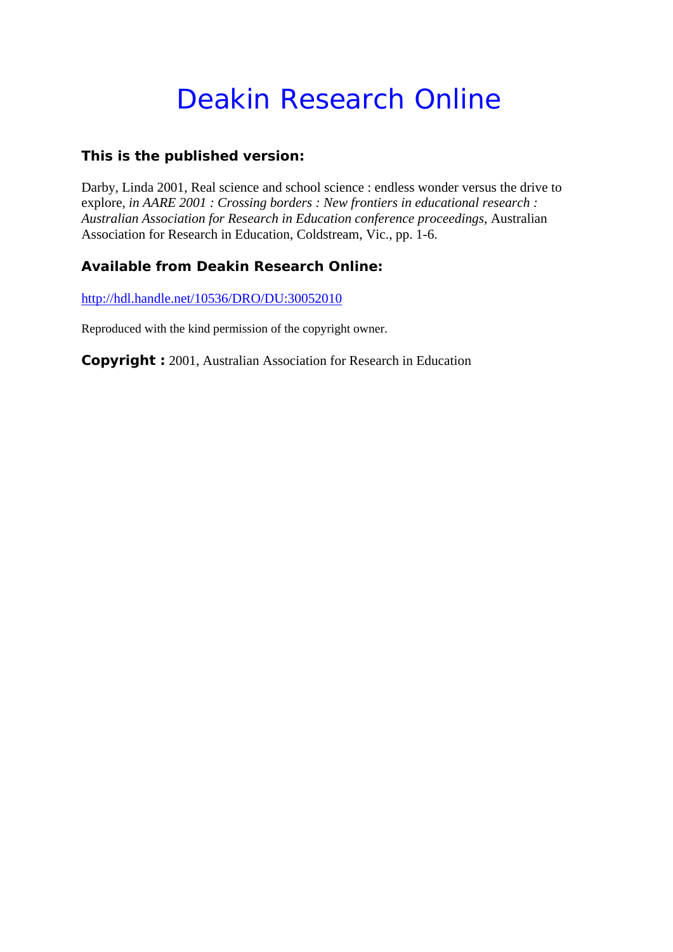# Deakin Research Online

## **This is the published version:**

Darby, Linda 2001, Real science and school science : endless wonder versus the drive to explore*, in AARE 2001 : Crossing borders : New frontiers in educational research : Australian Association for Research in Education conference proceedings*, Australian Association for Research in Education, Coldstream, Vic., pp. 1-6.

## **Available from Deakin Research Online:**

http://hdl.handle.net/10536/DRO/DU:30052010

Reproduced with the kind permission of the copyright owner.

**Copyright :** 2001, Australian Association for Research in Education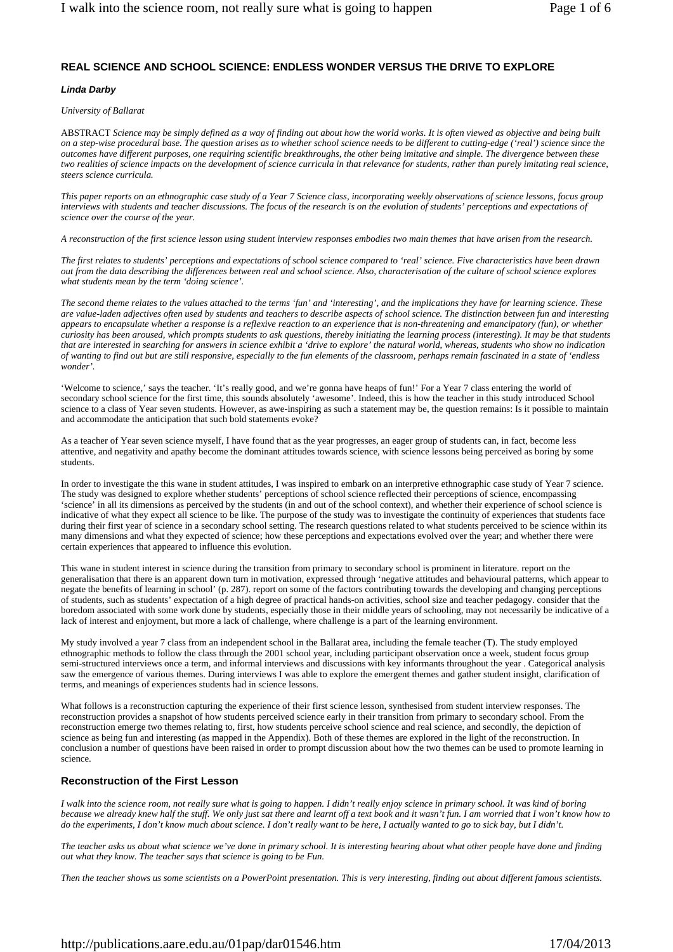### **REAL SCIENCE AND SCHOOL SCIENCE: ENDLESS WONDER VERSUS THE DRIVE TO EXPLORE**

#### *Linda Darby*

#### *University of Ballarat*

ABSTRACT *Science may be simply defined as a way of finding out about how the world works. It is often viewed as objective and being built on a step-wise procedural base. The question arises as to whether school science needs to be different to cutting-edge ('real') science since the outcomes have different purposes, one requiring scientific breakthroughs, the other being imitative and simple. The divergence between these two realities of science impacts on the development of science curricula in that relevance for students, rather than purely imitating real science, steers science curricula.*

*This paper reports on an ethnographic case study of a Year 7 Science class, incorporating weekly observations of science lessons, focus group interviews with students and teacher discussions. The focus of the research is on the evolution of students' perceptions and expectations of science over the course of the year.* 

*A reconstruction of the first science lesson using student interview responses embodies two main themes that have arisen from the research.* 

*The first relates to students' perceptions and expectations of school science compared to 'real' science. Five characteristics have been drawn out from the data describing the differences between real and school science. Also, characterisation of the culture of school science explores what students mean by the term 'doing science'.* 

*The second theme relates to the values attached to the terms 'fun' and 'interesting', and the implications they have for learning science. These are value-laden adjectives often used by students and teachers to describe aspects of school science. The distinction between fun and interesting appears to encapsulate whether a response is a reflexive reaction to an experience that is non-threatening and emancipatory (fun), or whether curiosity has been aroused, which prompts students to ask questions, thereby initiating the learning process (interesting). It may be that students that are interested in searching for answers in science exhibit a 'drive to explore' the natural world, whereas, students who show no indication of wanting to find out but are still responsive, especially to the fun elements of the classroom, perhaps remain fascinated in a state of 'endless wonder'.* 

'Welcome to science,' says the teacher. 'It's really good, and we're gonna have heaps of fun!' For a Year 7 class entering the world of secondary school science for the first time, this sounds absolutely 'awesome'. Indeed, this is how the teacher in this study introduced School science to a class of Year seven students. However, as awe-inspiring as such a statement may be, the question remains: Is it possible to maintain and accommodate the anticipation that such bold statements evoke?

As a teacher of Year seven science myself, I have found that as the year progresses, an eager group of students can, in fact, become less attentive, and negativity and apathy become the dominant attitudes towards science, with science lessons being perceived as boring by some students.

In order to investigate the this wane in student attitudes, I was inspired to embark on an interpretive ethnographic case study of Year 7 science. The study was designed to explore whether students' perceptions of school science reflected their perceptions of science, encompassing 'science' in all its dimensions as perceived by the students (in and out of the school context), and whether their experience of school science is indicative of what they expect all science to be like. The purpose of the study was to investigate the continuity of experiences that students face during their first year of science in a secondary school setting. The research questions related to what students perceived to be science within its many dimensions and what they expected of science; how these perceptions and expectations evolved over the year; and whether there were certain experiences that appeared to influence this evolution.

This wane in student interest in science during the transition from primary to secondary school is prominent in literature. report on the generalisation that there is an apparent down turn in motivation, expressed through 'negative attitudes and behavioural patterns, which appear to negate the benefits of learning in school' (p. 287). report on some of the factors contributing towards the developing and changing perceptions of students, such as students' expectation of a high degree of practical hands-on activities, school size and teacher pedagogy. consider that the boredom associated with some work done by students, especially those in their middle years of schooling, may not necessarily be indicative of a lack of interest and enjoyment, but more a lack of challenge, where challenge is a part of the learning environment.

My study involved a year 7 class from an independent school in the Ballarat area, including the female teacher (T). The study employed ethnographic methods to follow the class through the 2001 school year, including participant observation once a week, student focus group semi-structured interviews once a term, and informal interviews and discussions with key informants throughout the year . Categorical analysis saw the emergence of various themes. During interviews I was able to explore the emergent themes and gather student insight, clarification of terms, and meanings of experiences students had in science lessons.

What follows is a reconstruction capturing the experience of their first science lesson, synthesised from student interview responses. The reconstruction provides a snapshot of how students perceived science early in their transition from primary to secondary school. From the reconstruction emerge two themes relating to, first, how students perceive school science and real science, and secondly, the depiction of science as being fun and interesting (as mapped in the Appendix). Both of these themes are explored in the light of the reconstruction. In conclusion a number of questions have been raised in order to prompt discussion about how the two themes can be used to promote learning in science.

#### **Reconstruction of the First Lesson**

*I walk into the science room, not really sure what is going to happen. I didn't really enjoy science in primary school. It was kind of boring because we already knew half the stuff. We only just sat there and learnt off a text book and it wasn't fun. I am worried that I won't know how to do the experiments, I don't know much about science. I don't really want to be here, I actually wanted to go to sick bay, but I didn't.* 

*The teacher asks us about what science we've done in primary school. It is interesting hearing about what other people have done and finding out what they know. The teacher says that science is going to be Fun.* 

*Then the teacher shows us some scientists on a PowerPoint presentation. This is very interesting, finding out about different famous scientists.*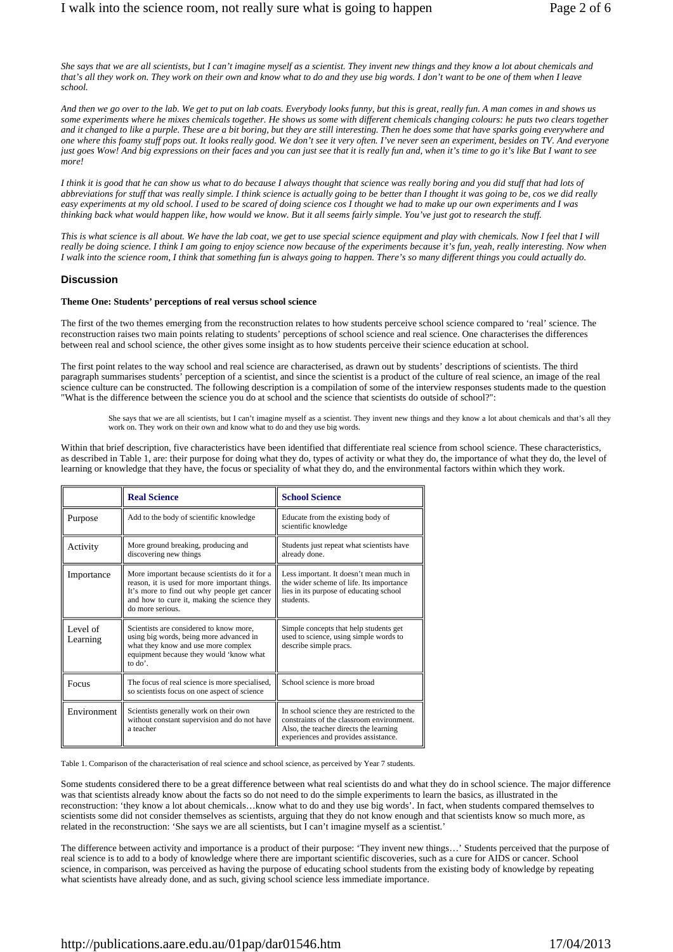*She says that we are all scientists, but I can't imagine myself as a scientist. They invent new things and they know a lot about chemicals and that's all they work on. They work on their own and know what to do and they use big words. I don't want to be one of them when I leave school.* 

*And then we go over to the lab. We get to put on lab coats. Everybody looks funny, but this is great, really fun. A man comes in and shows us some experiments where he mixes chemicals together. He shows us some with different chemicals changing colours: he puts two clears together and it changed to like a purple. These are a bit boring, but they are still interesting. Then he does some that have sparks going everywhere and one where this foamy stuff pops out. It looks really good. We don't see it very often. I've never seen an experiment, besides on TV. And everyone just goes Wow! And big expressions on their faces and you can just see that it is really fun and, when it's time to go it's like But I want to see more!* 

*I think it is good that he can show us what to do because I always thought that science was really boring and you did stuff that had lots of abbreviations for stuff that was really simple. I think science is actually going to be better than I thought it was going to be, cos we did really easy experiments at my old school. I used to be scared of doing science cos I thought we had to make up our own experiments and I was thinking back what would happen like, how would we know. But it all seems fairly simple. You've just got to research the stuff.*

*This is what science is all about. We have the lab coat, we get to use special science equipment and play with chemicals. Now I feel that I will really be doing science. I think I am going to enjoy science now because of the experiments because it's fun, yeah, really interesting. Now when I walk into the science room, I think that something fun is always going to happen. There's so many different things you could actually do.* 

#### **Discussion**

#### **Theme One: Students' perceptions of real versus school science**

The first of the two themes emerging from the reconstruction relates to how students perceive school science compared to 'real' science. The reconstruction raises two main points relating to students' perceptions of school science and real science. One characterises the differences between real and school science, the other gives some insight as to how students perceive their science education at school.

The first point relates to the way school and real science are characterised, as drawn out by students' descriptions of scientists. The third paragraph summarises students' perception of a scientist, and since the scientist is a product of the culture of real science, an image of the real science culture can be constructed. The following description is a compilation of some of the interview responses students made to the question "What is the difference between the science you do at school and the science that scientists do outside of school?":

She says that we are all scientists, but I can't imagine myself as a scientist. They invent new things and they know a lot about chemicals and that's all they work on. They work on their own and know what to do and they use big words.

Within that brief description, five characteristics have been identified that differentiate real science from school science. These characteristics, as described in Table 1, are: their purpose for doing what they do, types of activity or what they do, the importance of what they do, the level of learning or knowledge that they have, the focus or speciality of what they do, and the environmental factors within which they work.

|                      | <b>Real Science</b>                                                                                                                                                                                              | <b>School Science</b>                                                                                                                                                       |  |
|----------------------|------------------------------------------------------------------------------------------------------------------------------------------------------------------------------------------------------------------|-----------------------------------------------------------------------------------------------------------------------------------------------------------------------------|--|
| Purpose              | Add to the body of scientific knowledge                                                                                                                                                                          | Educate from the existing body of<br>scientific knowledge                                                                                                                   |  |
| Activity             | More ground breaking, producing and<br>discovering new things                                                                                                                                                    | Students just repeat what scientists have<br>already done.                                                                                                                  |  |
| Importance           | More important because scientists do it for a<br>reason, it is used for more important things.<br>It's more to find out why people get cancer<br>and how to cure it, making the science they<br>do more serious. | Less important. It doesn't mean much in<br>the wider scheme of life. Its importance<br>lies in its purpose of educating school<br>students.                                 |  |
| Level of<br>Learning | Scientists are considered to know more,<br>using big words, being more advanced in<br>what they know and use more complex<br>equipment because they would 'know what<br>to $do'.$                                | Simple concepts that help students get<br>used to science, using simple words to<br>describe simple pracs.                                                                  |  |
| Focus                | The focus of real science is more specialised,<br>so scientists focus on one aspect of science                                                                                                                   | School science is more broad                                                                                                                                                |  |
| Environment          | Scientists generally work on their own<br>without constant supervision and do not have<br>a teacher                                                                                                              | In school science they are restricted to the<br>constraints of the classroom environment.<br>Also, the teacher directs the learning<br>experiences and provides assistance. |  |

Table 1. Comparison of the characterisation of real science and school science, as perceived by Year 7 students.

Some students considered there to be a great difference between what real scientists do and what they do in school science. The major difference was that scientists already know about the facts so do not need to do the simple experiments to learn the basics, as illustrated in the reconstruction: 'they know a lot about chemicals…know what to do and they use big words'. In fact, when students compared themselves to scientists some did not consider themselves as scientists, arguing that they do not know enough and that scientists know so much more, as related in the reconstruction: 'She says we are all scientists, but I can't imagine myself as a scientist.'

The difference between activity and importance is a product of their purpose: 'They invent new things…' Students perceived that the purpose of real science is to add to a body of knowledge where there are important scientific discoveries, such as a cure for AIDS or cancer. School science, in comparison, was perceived as having the purpose of educating school students from the existing body of knowledge by repeating what scientists have already done, and as such, giving school science less immediate importance.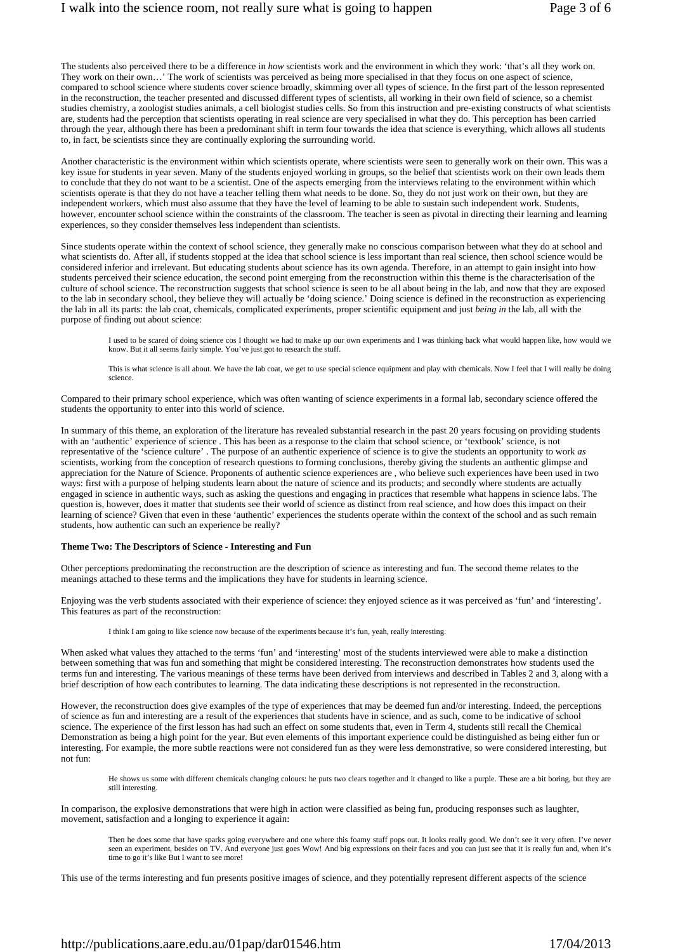The students also perceived there to be a difference in *how* scientists work and the environment in which they work: 'that's all they work on. They work on their own…' The work of scientists was perceived as being more specialised in that they focus on one aspect of science, compared to school science where students cover science broadly, skimming over all types of science. In the first part of the lesson represented in the reconstruction, the teacher presented and discussed different types of scientists, all working in their own field of science, so a chemist studies chemistry, a zoologist studies animals, a cell biologist studies cells. So from this instruction and pre-existing constructs of what scientists are, students had the perception that scientists operating in real science are very specialised in what they do. This perception has been carried through the year, although there has been a predominant shift in term four towards the idea that science is everything, which allows all students to, in fact, be scientists since they are continually exploring the surrounding world.

Another characteristic is the environment within which scientists operate, where scientists were seen to generally work on their own. This was a key issue for students in year seven. Many of the students enjoyed working in groups, so the belief that scientists work on their own leads them to conclude that they do not want to be a scientist. One of the aspects emerging from the interviews relating to the environment within which scientists operate is that they do not have a teacher telling them what needs to be done. So, they do not just work on their own, but they are independent workers, which must also assume that they have the level of learning to be able to sustain such independent work. Students, however, encounter school science within the constraints of the classroom. The teacher is seen as pivotal in directing their learning and learning experiences, so they consider themselves less independent than scientists.

Since students operate within the context of school science, they generally make no conscious comparison between what they do at school and what scientists do. After all, if students stopped at the idea that school science is less important than real science, then school science would be considered inferior and irrelevant. But educating students about science has its own agenda. Therefore, in an attempt to gain insight into how students perceived their science education, the second point emerging from the reconstruction within this theme is the characterisation of the culture of school science. The reconstruction suggests that school science is seen to be all about being in the lab, and now that they are exposed to the lab in secondary school, they believe they will actually be 'doing science.' Doing science is defined in the reconstruction as experiencing the lab in all its parts: the lab coat, chemicals, complicated experiments, proper scientific equipment and just *being in* the lab, all with the purpose of finding out about science:

I used to be scared of doing science cos I thought we had to make up our own experiments and I was thinking back what would happen like, how would we<br>know. But it all seems fairly simple. You've just got to research the st

This is what science is all about. We have the lab coat, we get to use special science equipment and play with chemicals. Now I feel that I will really be doing science.

Compared to their primary school experience, which was often wanting of science experiments in a formal lab, secondary science offered the students the opportunity to enter into this world of science.

In summary of this theme, an exploration of the literature has revealed substantial research in the past 20 years focusing on providing students with an 'authentic' experience of science. This has been as a response to the claim that school science, or 'textbook' science, is not representative of the 'science culture' . The purpose of an authentic experience of science is to give the students an opportunity to work *as* scientists, working from the conception of research questions to forming conclusions, thereby giving the students an authentic glimpse and appreciation for the Nature of Science. Proponents of authentic science experiences are , who believe such experiences have been used in two ways: first with a purpose of helping students learn about the nature of science and its products; and secondly where students are actually engaged in science in authentic ways, such as asking the questions and engaging in practices that resemble what happens in science labs. The question is, however, does it matter that students see their world of science as distinct from real science, and how does this impact on their learning of science? Given that even in these 'authentic' experiences the students operate within the context of the school and as such remain students, how authentic can such an experience be really?

#### **Theme Two: The Descriptors of Science - Interesting and Fun**

Other perceptions predominating the reconstruction are the description of science as interesting and fun. The second theme relates to the meanings attached to these terms and the implications they have for students in learning science.

Enjoying was the verb students associated with their experience of science: they enjoyed science as it was perceived as 'fun' and 'interesting'. This features as part of the reconstruction:

I think I am going to like science now because of the experiments because it's fun, yeah, really interesting.

When asked what values they attached to the terms 'fun' and 'interesting' most of the students interviewed were able to make a distinction between something that was fun and something that might be considered interesting. The reconstruction demonstrates how students used the terms fun and interesting. The various meanings of these terms have been derived from interviews and described in Tables 2 and 3, along with a brief description of how each contributes to learning. The data indicating these descriptions is not represented in the reconstruction.

However, the reconstruction does give examples of the type of experiences that may be deemed fun and/or interesting. Indeed, the perceptions of science as fun and interesting are a result of the experiences that students have in science, and as such, come to be indicative of school science. The experience of the first lesson has had such an effect on some students that, even in Term 4, students still recall the Chemical Demonstration as being a high point for the year. But even elements of this important experience could be distinguished as being either fun or interesting. For example, the more subtle reactions were not considered fun as they were less demonstrative, so were considered interesting, but not fun:

He shows us some with different chemicals changing colours: he puts two clears together and it changed to like a purple. These are a bit boring, but they are still interesting.

In comparison, the explosive demonstrations that were high in action were classified as being fun, producing responses such as laughter, movement, satisfaction and a longing to experience it again:

Then he does some that have sparks going everywhere and one where this foamy stuff pops out. It looks really good. We don't see it very often. I've never<br>seen an experiment, besides on TV. And everyone just goes Wow! And b time to go it's like But I want to see more!

This use of the terms interesting and fun presents positive images of science, and they potentially represent different aspects of the science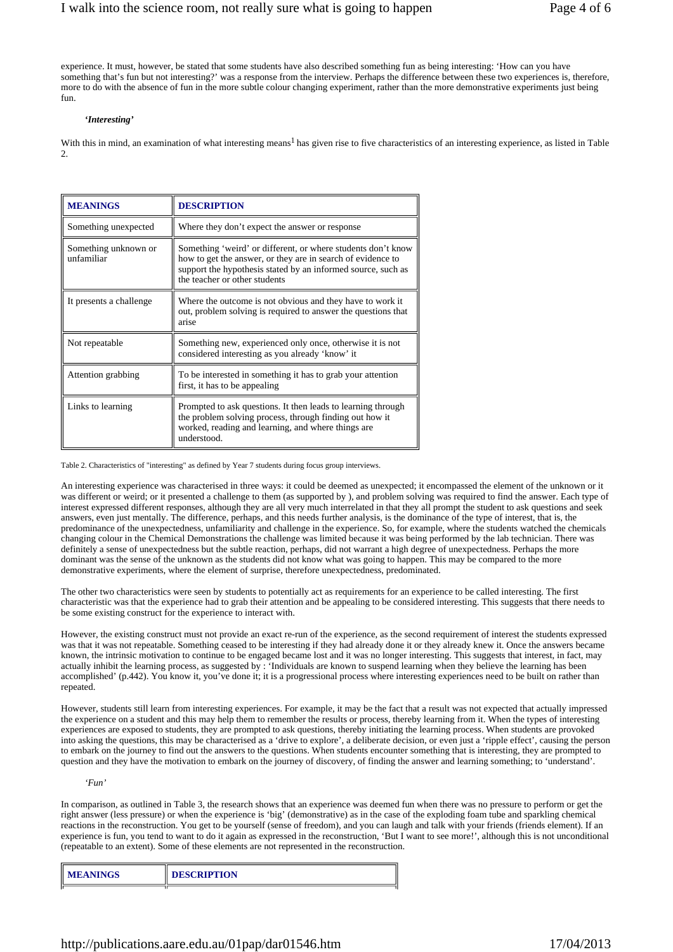experience. It must, however, be stated that some students have also described something fun as being interesting: 'How can you have something that's fun but not interesting?' was a response from the interview. Perhaps the difference between these two experiences is, therefore, more to do with the absence of fun in the more subtle colour changing experiment, rather than the more demonstrative experiments just being fun.

#### *'Interesting'*

With this in mind, an examination of what interesting means<sup>1</sup> has given rise to five characteristics of an interesting experience, as listed in Table  $\mathcal{L}$ 

| <b>MEANINGS</b>                    | <b>DESCRIPTION</b>                                                                                                                                                                                                           |  |
|------------------------------------|------------------------------------------------------------------------------------------------------------------------------------------------------------------------------------------------------------------------------|--|
| Something unexpected               | Where they don't expect the answer or response                                                                                                                                                                               |  |
| Something unknown or<br>unfamiliar | Something 'weird' or different, or where students don't know<br>how to get the answer, or they are in search of evidence to<br>support the hypothesis stated by an informed source, such as<br>the teacher or other students |  |
| It presents a challenge            | Where the outcome is not obvious and they have to work it<br>out, problem solving is required to answer the questions that<br>arise                                                                                          |  |
| Not repeatable                     | Something new, experienced only once, otherwise it is not<br>considered interesting as you already 'know' it                                                                                                                 |  |
| Attention grabbing                 | To be interested in something it has to grab your attention<br>first, it has to be appealing                                                                                                                                 |  |
| Links to learning                  | Prompted to ask questions. It then leads to learning through<br>the problem solving process, through finding out how it<br>worked, reading and learning, and where things are<br>understood.                                 |  |

Table 2. Characteristics of "interesting" as defined by Year 7 students during focus group interviews.

An interesting experience was characterised in three ways: it could be deemed as unexpected; it encompassed the element of the unknown or it was different or weird; or it presented a challenge to them (as supported by ), and problem solving was required to find the answer. Each type of interest expressed different responses, although they are all very much interrelated in that they all prompt the student to ask questions and seek answers, even just mentally. The difference, perhaps, and this needs further analysis, is the dominance of the type of interest, that is, the predominance of the unexpectedness, unfamiliarity and challenge in the experience. So, for example, where the students watched the chemicals changing colour in the Chemical Demonstrations the challenge was limited because it was being performed by the lab technician. There was definitely a sense of unexpectedness but the subtle reaction, perhaps, did not warrant a high degree of unexpectedness. Perhaps the more dominant was the sense of the unknown as the students did not know what was going to happen. This may be compared to the more demonstrative experiments, where the element of surprise, therefore unexpectedness, predominated.

The other two characteristics were seen by students to potentially act as requirements for an experience to be called interesting. The first characteristic was that the experience had to grab their attention and be appealing to be considered interesting. This suggests that there needs to be some existing construct for the experience to interact with.

However, the existing construct must not provide an exact re-run of the experience, as the second requirement of interest the students expressed was that it was not repeatable. Something ceased to be interesting if they had already done it or they already knew it. Once the answers became known, the intrinsic motivation to continue to be engaged became lost and it was no longer interesting. This suggests that interest, in fact, may actually inhibit the learning process, as suggested by : 'Individuals are known to suspend learning when they believe the learning has been accomplished' (p.442). You know it, you've done it; it is a progressional process where interesting experiences need to be built on rather than repeated.

However, students still learn from interesting experiences. For example, it may be the fact that a result was not expected that actually impressed the experience on a student and this may help them to remember the results or process, thereby learning from it. When the types of interesting experiences are exposed to students, they are prompted to ask questions, thereby initiating the learning process. When students are provoked into asking the questions, this may be characterised as a 'drive to explore', a deliberate decision, or even just a 'ripple effect', causing the person to embark on the journey to find out the answers to the questions. When students encounter something that is interesting, they are prompted to question and they have the motivation to embark on the journey of discovery, of finding the answer and learning something; to 'understand'.

#### *'Fun'*

In comparison, as outlined in Table 3, the research shows that an experience was deemed fun when there was no pressure to perform or get the right answer (less pressure) or when the experience is 'big' (demonstrative) as in the case of the exploding foam tube and sparkling chemical reactions in the reconstruction. You get to be yourself (sense of freedom), and you can laugh and talk with your friends (friends element). If an experience is fun, you tend to want to do it again as expressed in the reconstruction, 'But I want to see more!', although this is not unconditional (repeatable to an extent). Some of these elements are not represented in the reconstruction.

| <b>ANINGS</b><br><b>MEAN</b> | <b>DESCRIPTION</b> |  |
|------------------------------|--------------------|--|
|                              |                    |  |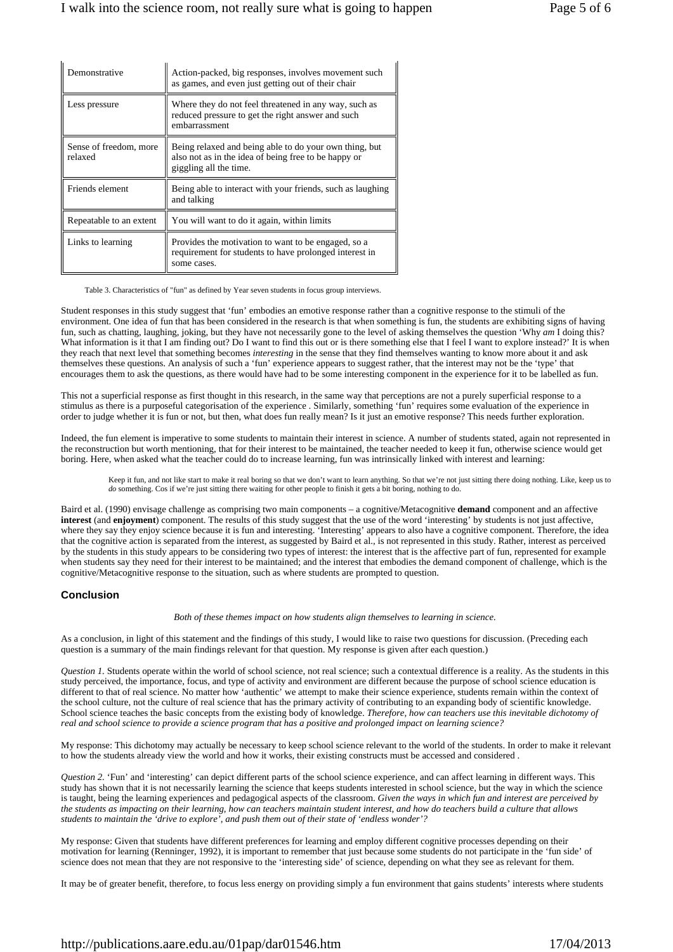| Demonstrative                     | Action-packed, big responses, involves movement such<br>as games, and even just getting out of their chair                               |  |
|-----------------------------------|------------------------------------------------------------------------------------------------------------------------------------------|--|
| Less pressure                     | Where they do not feel threatened in any way, such as<br>reduced pressure to get the right answer and such<br>embarrassment              |  |
| Sense of freedom, more<br>relaxed | Being relaxed and being able to do your own thing, but<br>also not as in the idea of being free to be happy or<br>giggling all the time. |  |
| Friends element                   | Being able to interact with your friends, such as laughing<br>and talking                                                                |  |
| Repeatable to an extent           | You will want to do it again, within limits                                                                                              |  |
| Links to learning                 | Provides the motivation to want to be engaged, so a<br>requirement for students to have prolonged interest in<br>some cases.             |  |

Table 3. Characteristics of "fun" as defined by Year seven students in focus group interviews.

Student responses in this study suggest that 'fun' embodies an emotive response rather than a cognitive response to the stimuli of the environment. One idea of fun that has been considered in the research is that when something is fun, the students are exhibiting signs of having fun, such as chatting, laughing, joking, but they have not necessarily gone to the level of asking themselves the question 'Why *am* I doing this? What information is it that I am finding out? Do I want to find this out or is there something else that I feel I want to explore instead?' It is when they reach that next level that something becomes *interesting* in the sense that they find themselves wanting to know more about it and ask themselves these questions. An analysis of such a 'fun' experience appears to suggest rather, that the interest may not be the 'type' that encourages them to ask the questions, as there would have had to be some interesting component in the experience for it to be labelled as fun.

This not a superficial response as first thought in this research, in the same way that perceptions are not a purely superficial response to a stimulus as there is a purposeful categorisation of the experience . Similarly, something 'fun' requires some evaluation of the experience in order to judge whether it is fun or not, but then, what does fun really mean? Is it just an emotive response? This needs further exploration.

Indeed, the fun element is imperative to some students to maintain their interest in science. A number of students stated, again not represented in the reconstruction but worth mentioning, that for their interest to be maintained, the teacher needed to keep it fun, otherwise science would get boring. Here, when asked what the teacher could do to increase learning, fun was intrinsically linked with interest and learning:

Keep it fun, and not like start to make it real boring so that we don't want to learn anything. So that we're not just sitting there doing nothing. Like, keep us to *do* something. Cos if we're just sitting there waiting for other people to finish it gets a bit boring, nothing to do.

Baird et al. (1990) envisage challenge as comprising two main components – a cognitive/Metacognitive **demand** component and an affective **interest** (and **enjoyment**) component. The results of this study suggest that the use of the word 'interesting' by students is not just affective, where they say they enjoy science because it is fun and interesting. 'Interesting' appears to also have a cognitive component. Therefore, the idea that the cognitive action is separated from the interest, as suggested by Baird et al., is not represented in this study. Rather, interest as perceived by the students in this study appears to be considering two types of interest: the interest that is the affective part of fun, represented for example when students say they need for their interest to be maintained; and the interest that embodies the demand component of challenge, which is the cognitive/Metacognitive response to the situation, such as where students are prompted to question.

#### **Conclusion**

#### *Both of these themes impact on how students align themselves to learning in science.*

As a conclusion, in light of this statement and the findings of this study, I would like to raise two questions for discussion. (Preceding each question is a summary of the main findings relevant for that question. My response is given after each question.)

*Question 1.* Students operate within the world of school science, not real science; such a contextual difference is a reality. As the students in this study perceived, the importance, focus, and type of activity and environment are different because the purpose of school science education is different to that of real science. No matter how 'authentic' we attempt to make their science experience, students remain within the context of the school culture, not the culture of real science that has the primary activity of contributing to an expanding body of scientific knowledge. School science teaches the basic concepts from the existing body of knowledge. Therefore, how can teachers use this inevitable dichotomy of *real and school science to provide a science program that has a positive and prolonged impact on learning science?*

My response: This dichotomy may actually be necessary to keep school science relevant to the world of the students. In order to make it relevant to how the students already view the world and how it works, their existing constructs must be accessed and considered .

*Question 2.* 'Fun' and 'interesting' can depict different parts of the school science experience, and can affect learning in different ways. This study has shown that it is not necessarily learning the science that keeps students interested in school science, but the way in which the science is taught, being the learning experiences and pedagogical aspects of the classroom. *Given the ways in which fun and interest are perceived by the students as impacting on their learning, how can teachers maintain student interest, and how do teachers build a culture that allows students to maintain the 'drive to explore', and push them out of their state of 'endless wonder'?*

My response: Given that students have different preferences for learning and employ different cognitive processes depending on their motivation for learning (Renninger, 1992), it is important to remember that just because some students do not participate in the 'fun side' of science does not mean that they are not responsive to the 'interesting side' of science, depending on what they see as relevant for them.

It may be of greater benefit, therefore, to focus less energy on providing simply a fun environment that gains students' interests where students